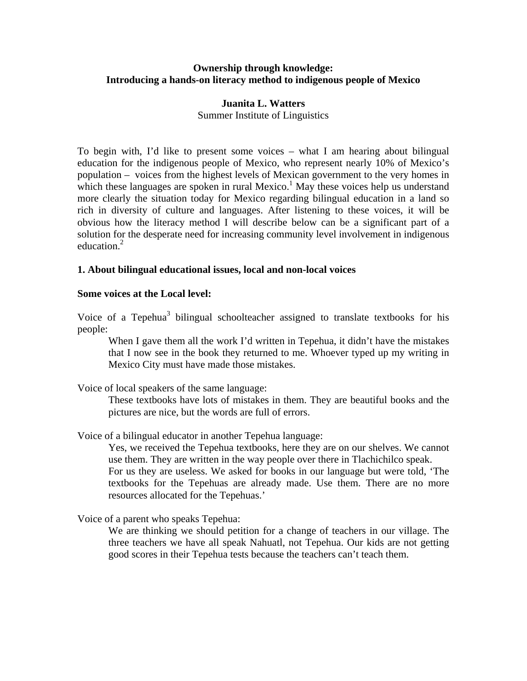## **Ownership through knowledge: Introducing a hands-on literacy method to indigenous people of Mexico**

## **Juanita L. Watters**  Summer Institute of Linguistics

To begin with, I'd like to present some voices – what I am hearing about bilingual education for the indigenous people of Mexico, who represent nearly 10% of Mexico's population – voices from the highest levels of Mexican government to the very homes in which these languages are spoken in rural Mexico.<sup>1</sup> May these voices help us understand more clearly the situation today for Mexico regarding bilingual education in a land so rich in diversity of culture and languages. After listening to these voices, it will be obvious how the literacy method I will describe below can be a significant part of a solution for the desperate need for increasing community level involvement in indigenous education.<sup>2</sup>

## **1. About bilingual educational issues, local and non-local voices**

## **Some voices at the Local level:**

Voice of a Tepehua<sup>3</sup> bilingual schoolteacher assigned to translate textbooks for his people:

When I gave them all the work I'd written in Tepehua, it didn't have the mistakes that I now see in the book they returned to me. Whoever typed up my writing in Mexico City must have made those mistakes.

Voice of local speakers of the same language:

These textbooks have lots of mistakes in them. They are beautiful books and the pictures are nice, but the words are full of errors.

Voice of a bilingual educator in another Tepehua language:

Yes, we received the Tepehua textbooks, here they are on our shelves. We cannot use them. They are written in the way people over there in Tlachichilco speak.

For us they are useless. We asked for books in our language but were told, 'The textbooks for the Tepehuas are already made. Use them. There are no more resources allocated for the Tepehuas.'

Voice of a parent who speaks Tepehua:

We are thinking we should petition for a change of teachers in our village. The three teachers we have all speak Nahuatl, not Tepehua. Our kids are not getting good scores in their Tepehua tests because the teachers can't teach them.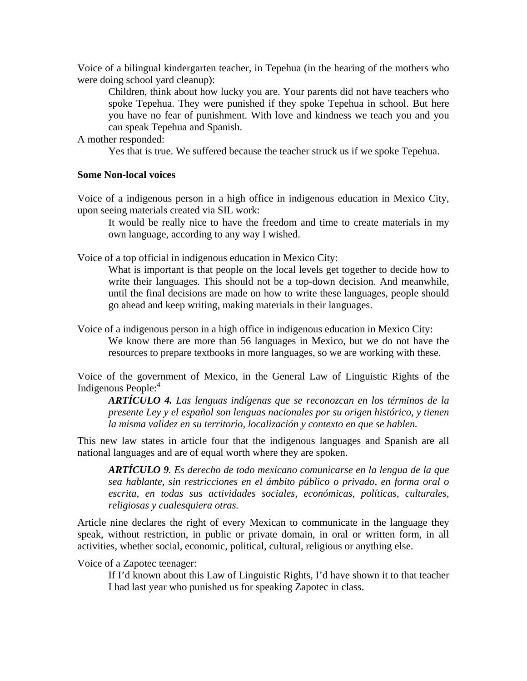Voice of a bilingual kindergarten teacher, in Tepehua (in the hearing of the mothers who were doing school yard cleanup):

Children, think about how lucky you are. Your parents did not have teachers who spoke Tepehua. They were punished if they spoke Tepehua in school. But here you have no fear of punishment. With love and kindness we teach you and you can speak Tepehua and Spanish.

A mother responded:

Yes that is true. We suffered because the teacher struck us if we spoke Tepehua.

### **Some Non-local voices**

Voice of a indigenous person in a high office in indigenous education in Mexico City, upon seeing materials created via SIL work:

It would be really nice to have the freedom and time to create materials in my own language, according to any way I wished.

Voice of a top official in indigenous education in Mexico City:

What is important is that people on the local levels get together to decide how to write their languages. This should not be a top-down decision. And meanwhile, until the final decisions are made on how to write these languages, people should go ahead and keep writing, making materials in their languages.

Voice of a indigenous person in a high office in indigenous education in Mexico City: We know there are more than 56 languages in Mexico, but we do not have the resources to prepare textbooks in more languages, so we are working with these.

Voice of the government of Mexico, in the General Law of Linguistic Rights of the Indigenous People:<sup>4</sup>

*ARTÍCULO 4. Las lenguas indígenas que se reconozcan en los términos de la presente Ley y el español son lenguas nacionales por su origen histórico, y tienen la misma validez en su territorio, localización y contexto en que se hablen.* 

This new law states in article four that the indigenous languages and Spanish are all national languages and are of equal worth where they are spoken.

*ARTÍCULO 9. Es derecho de todo mexicano comunicarse en la lengua de la que sea hablante, sin restricciones en el ámbito público o privado, en forma oral o escrita, en todas sus actividades sociales, económicas, políticas, culturales, religiosas y cualesquiera otras.* 

Article nine declares the right of every Mexican to communicate in the language they speak, without restriction, in public or private domain, in oral or written form, in all activities, whether social, economic, political, cultural, religious or anything else.

Voice of a Zapotec teenager:

If I'd known about this Law of Linguistic Rights, I'd have shown it to that teacher I had last year who punished us for speaking Zapotec in class.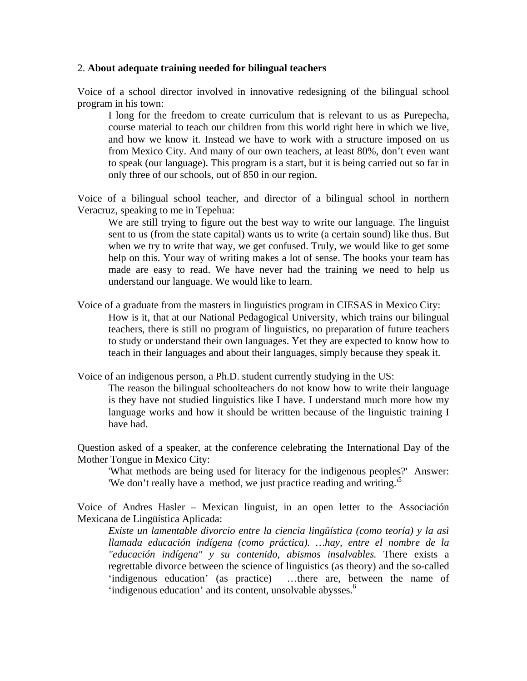#### 2. **About adequate training needed for bilingual teachers**

Voice of a school director involved in innovative redesigning of the bilingual school program in his town:

I long for the freedom to create curriculum that is relevant to us as Purepecha, course material to teach our children from this world right here in which we live, and how we know it. Instead we have to work with a structure imposed on us from Mexico City. And many of our own teachers, at least 80%, don't even want to speak (our language). This program is a start, but it is being carried out so far in only three of our schools, out of 850 in our region.

Voice of a bilingual school teacher, and director of a bilingual school in northern Veracruz, speaking to me in Tepehua:

We are still trying to figure out the best way to write our language. The linguist sent to us (from the state capital) wants us to write (a certain sound) like thus. But when we try to write that way, we get confused. Truly, we would like to get some help on this. Your way of writing makes a lot of sense. The books your team has made are easy to read. We have never had the training we need to help us understand our language. We would like to learn.

Voice of a graduate from the masters in linguistics program in CIESAS in Mexico City: How is it, that at our National Pedagogical University, which trains our bilingual teachers, there is still no program of linguistics, no preparation of future teachers to study or understand their own languages. Yet they are expected to know how to teach in their languages and about their languages, simply because they speak it.

Voice of an indigenous person, a Ph.D. student currently studying in the US:

The reason the bilingual schoolteachers do not know how to write their language is they have not studied linguistics like I have. I understand much more how my language works and how it should be written because of the linguistic training I have had.

Question asked of a speaker, at the conference celebrating the International Day of the Mother Tongue in Mexico City:

'What methods are being used for literacy for the indigenous peoples?' Answer: 'We don't really have a method, we just practice reading and writing.'<sup>5</sup>

Voice of Andres Hasler – Mexican linguist, in an open letter to the Associación Mexicana de Lingüística Aplicada:

*Existe un lamentable divorcio entre la ciencia lingüística (como teoría) y la asì llamada educación indígena (como práctica). …hay, entre el nombre de la "educación indígena" y su contenido, abismos insalvables.* There exists a regrettable divorce between the science of linguistics (as theory) and the so-called 'indigenous education' (as practice) …there are, between the name of 'indigenous education' and its content, unsolvable abysses.<sup>6</sup>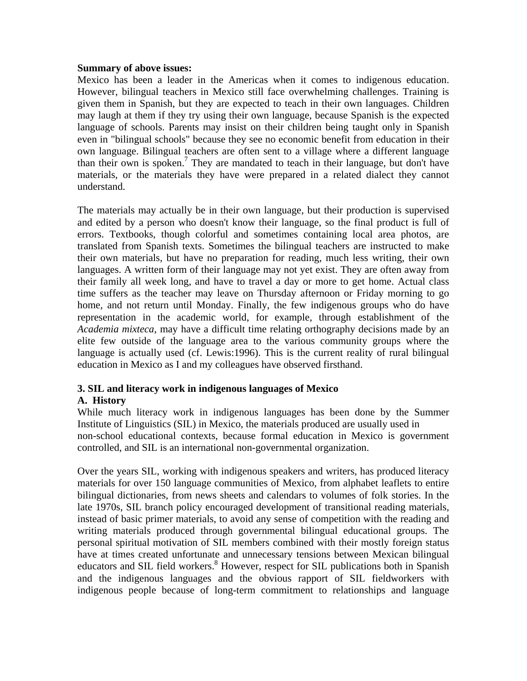### **Summary of above issues:**

Mexico has been a leader in the Americas when it comes to indigenous education. However, bilingual teachers in Mexico still face overwhelming challenges. Training is given them in Spanish, but they are expected to teach in their own languages. Children may laugh at them if they try using their own language, because Spanish is the expected language of schools. Parents may insist on their children being taught only in Spanish even in "bilingual schools" because they see no economic benefit from education in their own language. Bilingual teachers are often sent to a village where a different language than their own is spoken.<sup>7</sup> They are mandated to teach in their language, but don't have materials, or the materials they have were prepared in a related dialect they cannot understand.

The materials may actually be in their own language, but their production is supervised and edited by a person who doesn't know their language, so the final product is full of errors. Textbooks, though colorful and sometimes containing local area photos, are translated from Spanish texts. Sometimes the bilingual teachers are instructed to make their own materials, but have no preparation for reading, much less writing, their own languages. A written form of their language may not yet exist. They are often away from their family all week long, and have to travel a day or more to get home. Actual class time suffers as the teacher may leave on Thursday afternoon or Friday morning to go home, and not return until Monday. Finally, the few indigenous groups who do have representation in the academic world, for example, through establishment of the *Academia mixteca*, may have a difficult time relating orthography decisions made by an elite few outside of the language area to the various community groups where the language is actually used (cf. Lewis:1996). This is the current reality of rural bilingual education in Mexico as I and my colleagues have observed firsthand.

## **3. SIL and literacy work in indigenous languages of Mexico**

## **A. History**

While much literacy work in indigenous languages has been done by the Summer Institute of Linguistics (SIL) in Mexico, the materials produced are usually used in non-school educational contexts, because formal education in Mexico is government controlled, and SIL is an international non-governmental organization.

Over the years SIL, working with indigenous speakers and writers, has produced literacy materials for over 150 language communities of Mexico, from alphabet leaflets to entire bilingual dictionaries, from news sheets and calendars to volumes of folk stories. In the late 1970s, SIL branch policy encouraged development of transitional reading materials, instead of basic primer materials, to avoid any sense of competition with the reading and writing materials produced through governmental bilingual educational groups. The personal spiritual motivation of SIL members combined with their mostly foreign status have at times created unfortunate and unnecessary tensions between Mexican bilingual educators and SIL field workers.<sup>8</sup> However, respect for SIL publications both in Spanish and the indigenous languages and the obvious rapport of SIL fieldworkers with indigenous people because of long-term commitment to relationships and language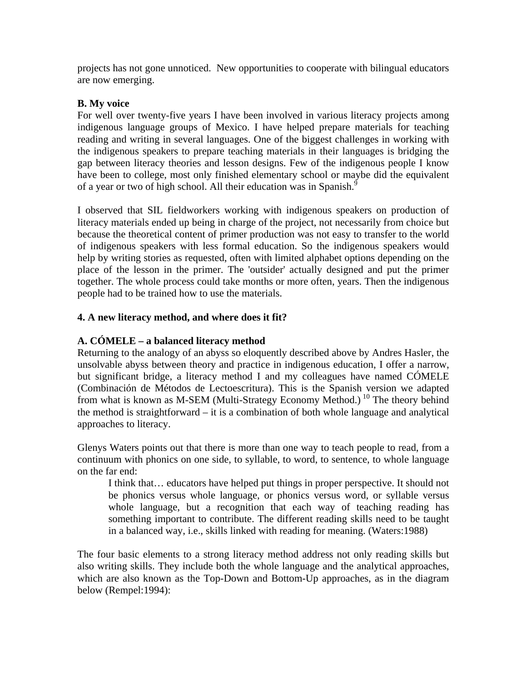projects has not gone unnoticed. New opportunities to cooperate with bilingual educators are now emerging.

## **B. My voice**

For well over twenty-five years I have been involved in various literacy projects among indigenous language groups of Mexico. I have helped prepare materials for teaching reading and writing in several languages. One of the biggest challenges in working with the indigenous speakers to prepare teaching materials in their languages is bridging the gap between literacy theories and lesson designs. Few of the indigenous people I know have been to college, most only finished elementary school or maybe did the equivalent of a year or two of high school. All their education was in Spanish.<sup>9</sup>

I observed that SIL fieldworkers working with indigenous speakers on production of literacy materials ended up being in charge of the project, not necessarily from choice but because the theoretical content of primer production was not easy to transfer to the world of indigenous speakers with less formal education. So the indigenous speakers would help by writing stories as requested, often with limited alphabet options depending on the place of the lesson in the primer. The 'outsider' actually designed and put the primer together. The whole process could take months or more often, years. Then the indigenous people had to be trained how to use the materials.

## **4. A new literacy method, and where does it fit?**

## **A. CÓMELE – a balanced literacy method**

Returning to the analogy of an abyss so eloquently described above by Andres Hasler, the unsolvable abyss between theory and practice in indigenous education, I offer a narrow, but significant bridge, a literacy method I and my colleagues have named CÓMELE (Combinación de Métodos de Lectoescritura). This is the Spanish version we adapted from what is known as M-SEM (Multi-Strategy Economy Method.)<sup>10</sup> The theory behind the method is straightforward – it is a combination of both whole language and analytical approaches to literacy.

Glenys Waters points out that there is more than one way to teach people to read, from a continuum with phonics on one side, to syllable, to word, to sentence, to whole language on the far end:

I think that… educators have helped put things in proper perspective. It should not be phonics versus whole language, or phonics versus word, or syllable versus whole language, but a recognition that each way of teaching reading has something important to contribute. The different reading skills need to be taught in a balanced way, i.e., skills linked with reading for meaning. (Waters:1988)

The four basic elements to a strong literacy method address not only reading skills but also writing skills. They include both the whole language and the analytical approaches, which are also known as the Top-Down and Bottom-Up approaches, as in the diagram below (Rempel:1994):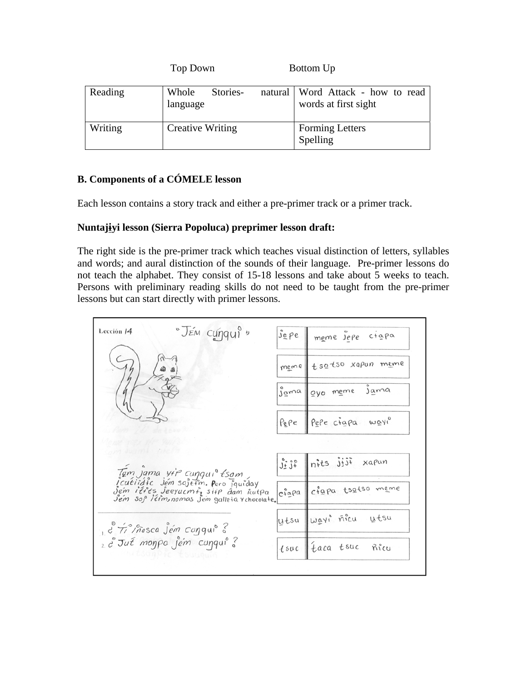|         | Top Down                      |  | Bottom Up                                                   |  |
|---------|-------------------------------|--|-------------------------------------------------------------|--|
| Reading | Whole<br>Stories-<br>language |  | natural   Word Attack - how to read<br>words at first sight |  |
| Writing | <b>Creative Writing</b>       |  | <b>Forming Letters</b><br>Spelling                          |  |

# **B. Components of a CÓMELE lesson**

Each lesson contains a story track and either a pre-primer track or a primer track.

## **Nuntajýyi lesson (Sierra Popoluca) preprimer lesson draft:**

The right side is the pre-primer track which teaches visual distinction of letters, syllables and words; and aural distinction of the sounds of their language. Pre-primer lessons do not teach the alphabet. They consist of 15-18 lessons and take about 5 weeks to teach. Persons with preliminary reading skills do not need to be taught from the pre-primer lessons but can start directly with primer lessons.

| jepe                          | meme Jepe ctapa                                                                                                                                        |
|-------------------------------|--------------------------------------------------------------------------------------------------------------------------------------------------------|
| meme                          | tsotso xapun meme                                                                                                                                      |
| $\int\limits_{0}^{\infty}$ ma | oyo meme jama                                                                                                                                          |
| Pepe                          | Pepe ciapa wayi                                                                                                                                        |
|                               |                                                                                                                                                        |
| $J_{\pm}$ $J_{\pm}$           | nits jiji xapun                                                                                                                                        |
| $c \sqrt{2} \alpha$ pa        | ctapa tsatso meme                                                                                                                                      |
| utsu                          | wayi nicu utsu                                                                                                                                         |
| $t$ suc                       | taca tsuc<br>nicu                                                                                                                                      |
|                               | Tạm Jama vip cunqui tsam<br>Icutiiálic Jém softim. Pero jauiday<br>Jém ities Jeeyucmi, siip dam icutpa<br>Jém sop l'tim, nomas Jém gallela vchocolale. |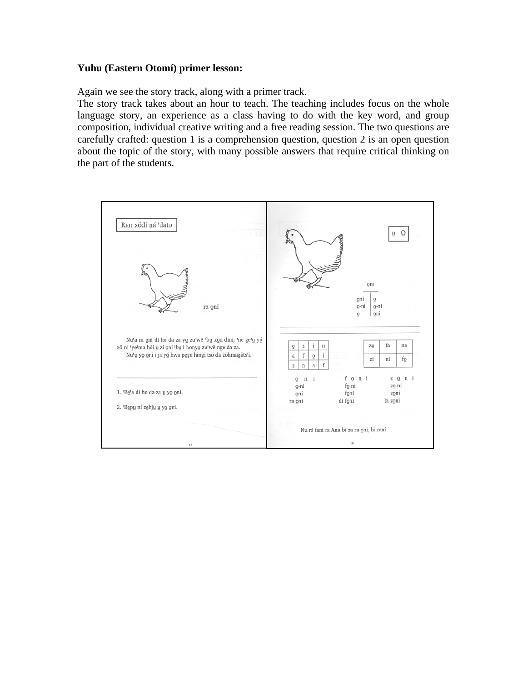### **Yuhu (Eastern Otomí) primer lesson:**

Again we see the story track, along with a primer track.

The story track takes about an hour to teach. The teaching includes focus on the whole language story, an experience as a class having to do with the key word, and group composition, individual creative writing and a free reading session. The two questions are carefully crafted: question 1 is a comprehension question, question 2 is an open question about the topic of the story, with many possible answers that require critical thinking on the part of the students.

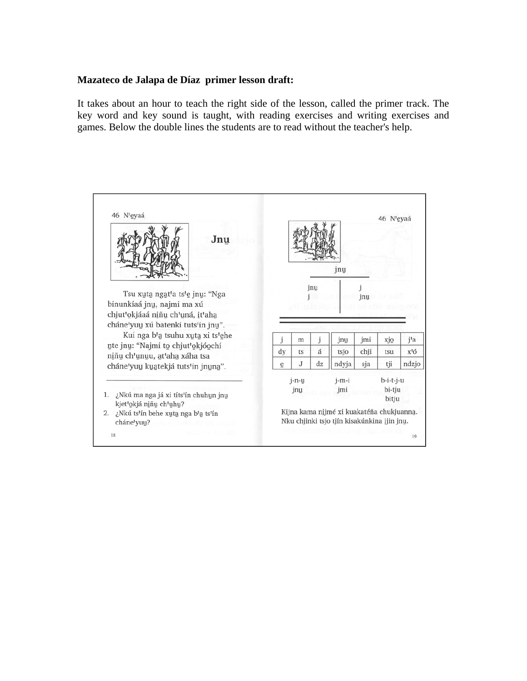#### **Mazateco de Jalapa de Díaz primer lesson draft:**

It takes about an hour to teach the right side of the lesson, called the primer track. The key word and key sound is taught, with reading exercises and writing exercises and games. Below the double lines the students are to read without the teacher's help.

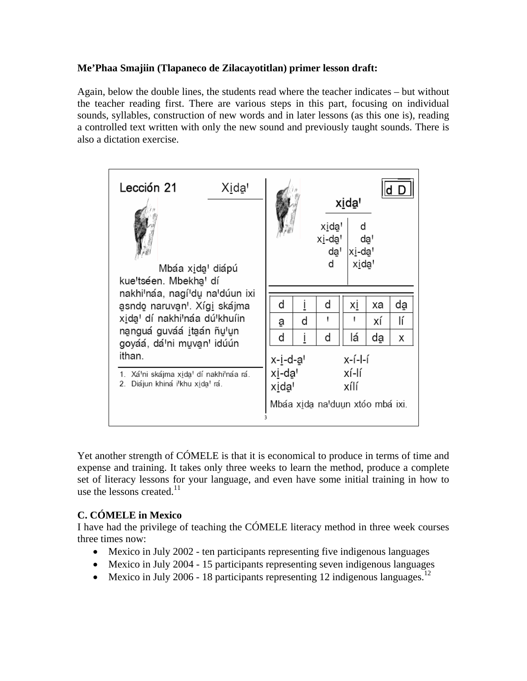## **Me'Phaa Smajiin (Tlapaneco de Zilacayotitlan) primer lesson draft:**

Again, below the double lines, the students read where the teacher indicates – but without the teacher reading first. There are various steps in this part, focusing on individual sounds, syllables, construction of new words and in later lessons (as this one is), reading a controlled text written with only the new sound and previously taught sounds. There is also a dictation exercise.



Yet another strength of CÓMELE is that it is economical to produce in terms of time and expense and training. It takes only three weeks to learn the method, produce a complete set of literacy lessons for your language, and even have some initial training in how to use the lessons created. $11$ 

# **C. CÓMELE in Mexico**

I have had the privilege of teaching the CÓMELE literacy method in three week courses three times now:

- Mexico in July 2002 ten participants representing five indigenous languages
- Mexico in July 2004 15 participants representing seven indigenous languages
- Mexico in July 2006 18 participants representing 12 indigenous languages.<sup>12</sup>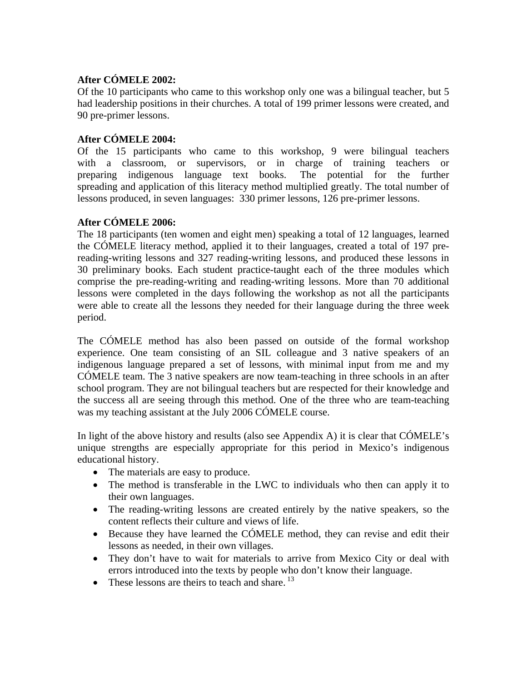## **After CÓMELE 2002:**

Of the 10 participants who came to this workshop only one was a bilingual teacher, but 5 had leadership positions in their churches. A total of 199 primer lessons were created, and 90 pre-primer lessons.

## **After CÓMELE 2004:**

Of the 15 participants who came to this workshop, 9 were bilingual teachers with a classroom, or supervisors, or in charge of training teachers or preparing indigenous language text books. The potential for the further spreading and application of this literacy method multiplied greatly. The total number of lessons produced, in seven languages: 330 primer lessons, 126 pre-primer lessons.

## **After CÓMELE 2006:**

The 18 participants (ten women and eight men) speaking a total of 12 languages, learned the CÓMELE literacy method, applied it to their languages, created a total of 197 prereading-writing lessons and 327 reading-writing lessons, and produced these lessons in 30 preliminary books. Each student practice-taught each of the three modules which comprise the pre-reading-writing and reading-writing lessons. More than 70 additional lessons were completed in the days following the workshop as not all the participants were able to create all the lessons they needed for their language during the three week period.

The CÓMELE method has also been passed on outside of the formal workshop experience. One team consisting of an SIL colleague and 3 native speakers of an indigenous language prepared a set of lessons, with minimal input from me and my CÓMELE team. The 3 native speakers are now team-teaching in three schools in an after school program. They are not bilingual teachers but are respected for their knowledge and the success all are seeing through this method. One of the three who are team-teaching was my teaching assistant at the July 2006 CÓMELE course.

In light of the above history and results (also see Appendix A) it is clear that CÓMELE's unique strengths are especially appropriate for this period in Mexico's indigenous educational history.

- The materials are easy to produce.
- The method is transferable in the LWC to individuals who then can apply it to their own languages.
- The reading-writing lessons are created entirely by the native speakers, so the content reflects their culture and views of life.
- Because they have learned the CÓMELE method, they can revise and edit their lessons as needed, in their own villages.
- They don't have to wait for materials to arrive from Mexico City or deal with errors introduced into the texts by people who don't know their language.
- These lessons are theirs to teach and share.  $^{13}$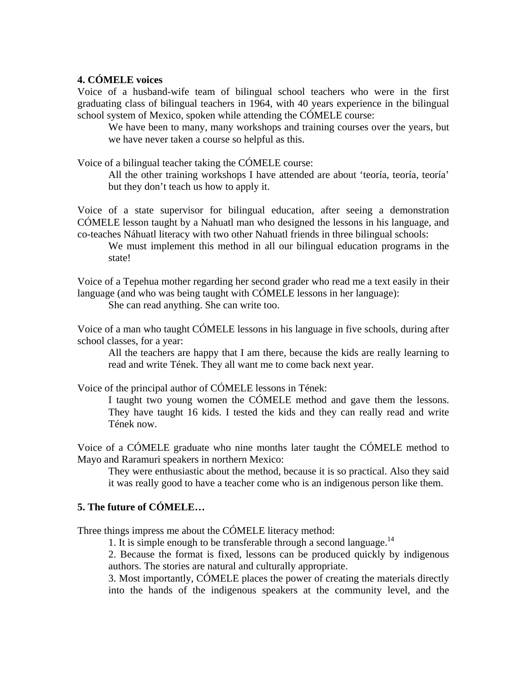### **4. CÓMELE voices**

Voice of a husband-wife team of bilingual school teachers who were in the first graduating class of bilingual teachers in 1964, with 40 years experience in the bilingual school system of Mexico, spoken while attending the CÓMELE course:

We have been to many, many workshops and training courses over the years, but we have never taken a course so helpful as this.

Voice of a bilingual teacher taking the CÓMELE course:

All the other training workshops I have attended are about 'teoría, teoría, teoría' but they don't teach us how to apply it.

Voice of a state supervisor for bilingual education, after seeing a demonstration CÓMELE lesson taught by a Nahuatl man who designed the lessons in his language, and co-teaches Náhuatl literacy with two other Nahuatl friends in three bilingual schools:

We must implement this method in all our bilingual education programs in the state!

Voice of a Tepehua mother regarding her second grader who read me a text easily in their language (and who was being taught with CÓMELE lessons in her language):

She can read anything. She can write too.

Voice of a man who taught CÓMELE lessons in his language in five schools, during after school classes, for a year:

All the teachers are happy that I am there, because the kids are really learning to read and write Tének. They all want me to come back next year.

Voice of the principal author of CÓMELE lessons in Tének:

I taught two young women the CÓMELE method and gave them the lessons. They have taught 16 kids. I tested the kids and they can really read and write Tének now.

Voice of a CÓMELE graduate who nine months later taught the CÓMELE method to Mayo and Raramuri speakers in northern Mexico:

They were enthusiastic about the method, because it is so practical. Also they said it was really good to have a teacher come who is an indigenous person like them.

## **5. The future of CÓMELE…**

Three things impress me about the CÓMELE literacy method:

1. It is simple enough to be transferable through a second language. $14$ 

2. Because the format is fixed, lessons can be produced quickly by indigenous authors. The stories are natural and culturally appropriate.

3. Most importantly, CÓMELE places the power of creating the materials directly into the hands of the indigenous speakers at the community level, and the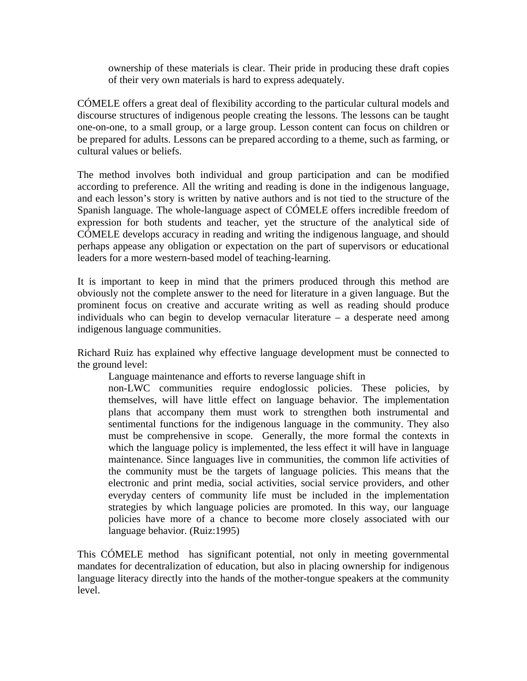ownership of these materials is clear. Their pride in producing these draft copies of their very own materials is hard to express adequately.

CÓMELE offers a great deal of flexibility according to the particular cultural models and discourse structures of indigenous people creating the lessons. The lessons can be taught one-on-one, to a small group, or a large group. Lesson content can focus on children or be prepared for adults. Lessons can be prepared according to a theme, such as farming, or cultural values or beliefs.

The method involves both individual and group participation and can be modified according to preference. All the writing and reading is done in the indigenous language, and each lesson's story is written by native authors and is not tied to the structure of the Spanish language. The whole-language aspect of CÓMELE offers incredible freedom of expression for both students and teacher, yet the structure of the analytical side of CÓMELE develops accuracy in reading and writing the indigenous language, and should perhaps appease any obligation or expectation on the part of supervisors or educational leaders for a more western-based model of teaching-learning.

It is important to keep in mind that the primers produced through this method are obviously not the complete answer to the need for literature in a given language. But the prominent focus on creative and accurate writing as well as reading should produce individuals who can begin to develop vernacular literature – a desperate need among indigenous language communities.

Richard Ruiz has explained why effective language development must be connected to the ground level:

Language maintenance and efforts to reverse language shift in

non-LWC communities require endoglossic policies. These policies, by themselves, will have little effect on language behavior. The implementation plans that accompany them must work to strengthen both instrumental and sentimental functions for the indigenous language in the community. They also must be comprehensive in scope. Generally, the more formal the contexts in which the language policy is implemented, the less effect it will have in language maintenance. Since languages live in communities, the common life activities of the community must be the targets of language policies. This means that the electronic and print media, social activities, social service providers, and other everyday centers of community life must be included in the implementation strategies by which language policies are promoted. In this way, our language policies have more of a chance to become more closely associated with our language behavior. (Ruiz:1995)

This CÓMELE method has significant potential, not only in meeting governmental mandates for decentralization of education, but also in placing ownership for indigenous language literacy directly into the hands of the mother-tongue speakers at the community level.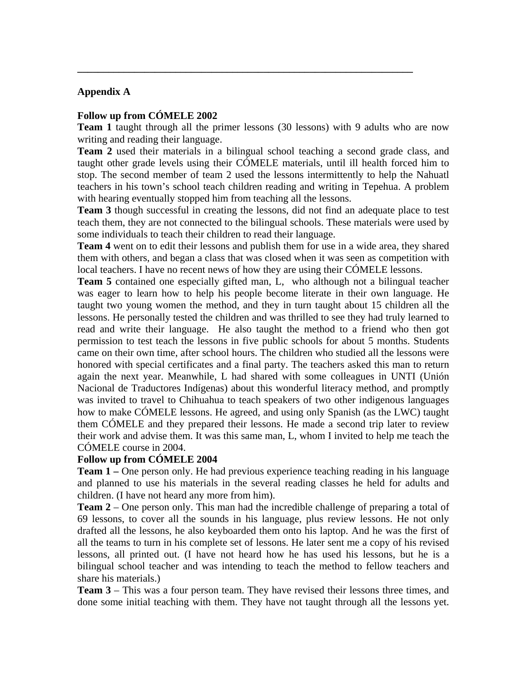## **Appendix A**

## **Follow up from CÓMELE 2002**

**Team 1** taught through all the primer lessons (30 lessons) with 9 adults who are now writing and reading their language.

**\_\_\_\_\_\_\_\_\_\_\_\_\_\_\_\_\_\_\_\_\_\_\_\_\_\_\_\_\_\_\_\_\_\_\_\_\_\_\_\_\_\_\_\_\_\_\_\_\_\_\_\_\_\_\_\_\_\_\_\_\_\_\_\_\_** 

**Team 2** used their materials in a bilingual school teaching a second grade class, and taught other grade levels using their CÓMELE materials, until ill health forced him to stop. The second member of team 2 used the lessons intermittently to help the Nahuatl teachers in his town's school teach children reading and writing in Tepehua. A problem with hearing eventually stopped him from teaching all the lessons.

**Team 3** though successful in creating the lessons, did not find an adequate place to test teach them, they are not connected to the bilingual schools. These materials were used by some individuals to teach their children to read their language.

**Team 4** went on to edit their lessons and publish them for use in a wide area, they shared them with others, and began a class that was closed when it was seen as competition with local teachers. I have no recent news of how they are using their CÓMELE lessons.

**Team 5** contained one especially gifted man, L, who although not a bilingual teacher was eager to learn how to help his people become literate in their own language. He taught two young women the method, and they in turn taught about 15 children all the lessons. He personally tested the children and was thrilled to see they had truly learned to read and write their language. He also taught the method to a friend who then got permission to test teach the lessons in five public schools for about 5 months. Students came on their own time, after school hours. The children who studied all the lessons were honored with special certificates and a final party. The teachers asked this man to return again the next year. Meanwhile, L had shared with some colleagues in UNTI (Unión Nacional de Traductores Indígenas) about this wonderful literacy method, and promptly was invited to travel to Chihuahua to teach speakers of two other indigenous languages how to make CÓMELE lessons. He agreed, and using only Spanish (as the LWC) taught them CÓMELE and they prepared their lessons. He made a second trip later to review their work and advise them. It was this same man, L, whom I invited to help me teach the CÓMELE course in 2004.

## **Follow up from CÓMELE 2004**

**Team 1** – One person only. He had previous experience teaching reading in his language and planned to use his materials in the several reading classes he held for adults and children. (I have not heard any more from him).

**Team 2** – One person only. This man had the incredible challenge of preparing a total of 69 lessons, to cover all the sounds in his language, plus review lessons. He not only drafted all the lessons, he also keyboarded them onto his laptop. And he was the first of all the teams to turn in his complete set of lessons. He later sent me a copy of his revised lessons, all printed out. (I have not heard how he has used his lessons, but he is a bilingual school teacher and was intending to teach the method to fellow teachers and share his materials.)

**Team 3** – This was a four person team. They have revised their lessons three times, and done some initial teaching with them. They have not taught through all the lessons yet.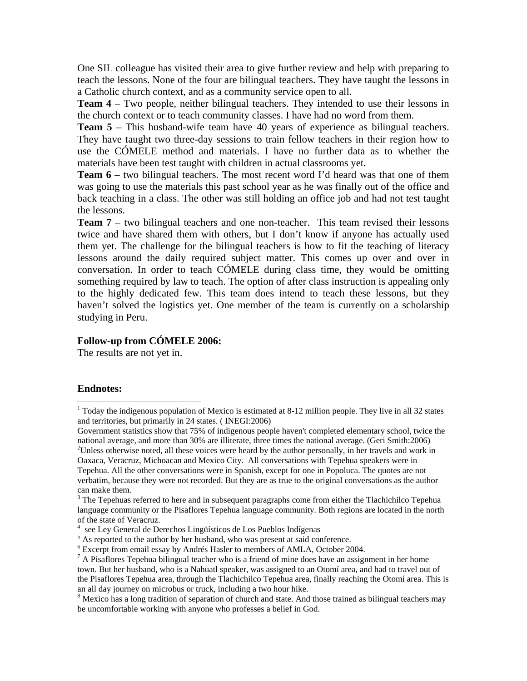One SIL colleague has visited their area to give further review and help with preparing to teach the lessons. None of the four are bilingual teachers. They have taught the lessons in a Catholic church context, and as a community service open to all.

**Team 4** – Two people, neither bilingual teachers. They intended to use their lessons in the church context or to teach community classes. I have had no word from them.

**Team 5** – This husband-wife team have 40 years of experience as bilingual teachers. They have taught two three-day sessions to train fellow teachers in their region how to use the CÓMELE method and materials. I have no further data as to whether the materials have been test taught with children in actual classrooms yet.

**Team 6** – two bilingual teachers. The most recent word I'd heard was that one of them was going to use the materials this past school year as he was finally out of the office and back teaching in a class. The other was still holding an office job and had not test taught the lessons.

**Team 7** – two bilingual teachers and one non-teacher. This team revised their lessons twice and have shared them with others, but I don't know if anyone has actually used them yet. The challenge for the bilingual teachers is how to fit the teaching of literacy lessons around the daily required subject matter. This comes up over and over in conversation. In order to teach CÓMELE during class time, they would be omitting something required by law to teach. The option of after class instruction is appealing only to the highly dedicated few. This team does intend to teach these lessons, but they haven't solved the logistics yet. One member of the team is currently on a scholarship studying in Peru.

## **Follow-up from CÓMELE 2006:**

The results are not yet in.

#### **Endnotes:**

 $\overline{a}$ 

 $1$  Today the indigenous population of Mexico is estimated at 8-12 million people. They live in all 32 states and territories, but primarily in 24 states. ( INEGI:2006)

Government statistics show that 75% of indigenous people haven't completed elementary school, twice the national average, and more than 30% are illiterate, three times the national average. (Geri Smith:2006) 2  $^{2}$ Unless otherwise noted, all these voices were heard by the author personally, in her travels and work in Oaxaca, Veracruz, Michoacan and Mexico City. All conversations with Tepehua speakers were in Tepehua. All the other conversations were in Spanish, except for one in Popoluca. The quotes are not verbatim, because they were not recorded. But they are as true to the original conversations as the author can make them.

 $3$  The Tepehuas referred to here and in subsequent paragraphs come from either the Tlachichilco Tepehua language community or the Pisaflores Tepehua language community. Both regions are located in the north of the state of Veracruz.

<sup>4</sup> see Ley General de Derechos Lingüísticos de Los Pueblos Indígenas

 $^5$  As reported to the author by her husband, who was present at said conference.

<sup>&</sup>lt;sup>6</sup> Excerpt from email essay by Andrés Hasler to members of AMLA, October 2004.

 $<sup>7</sup>$  A Pisaflores Tepehua bilingual teacher who is a friend of mine does have an assignment in her home</sup> town. But her husband, who is a Nahuatl speaker, was assigned to an Otomí area, and had to travel out of the Pisaflores Tepehua area, through the Tlachichilco Tepehua area, finally reaching the Otomí area. This is an all day journey on microbus or truck, including a two hour hike.

<sup>&</sup>lt;sup>8</sup> Mexico has a long tradition of separation of church and state. And those trained as bilingual teachers may be uncomfortable working with anyone who professes a belief in God.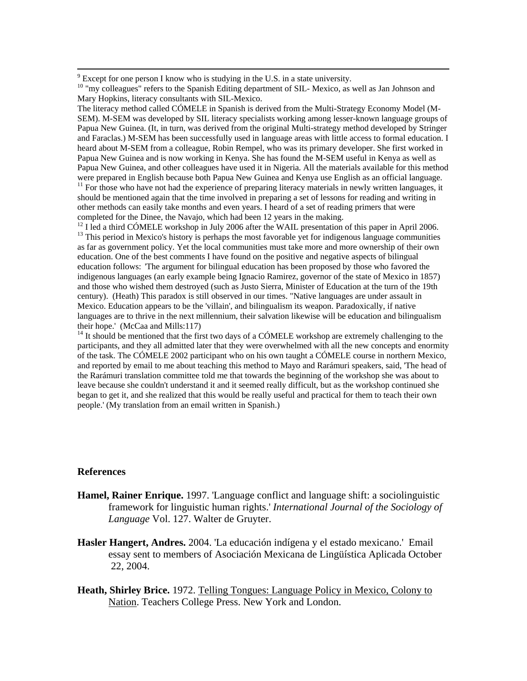-<br>9  $9^9$  Except for one person I know who is studying in the U.S. in a state university.

<sup>10</sup> "my colleagues" refers to the Spanish Editing department of SIL-Mexico, as well as Jan Johnson and Mary Hopkins, literacy consultants with SIL-Mexico.

The literacy method called CÓMELE in Spanish is derived from the Multi-Strategy Economy Model (M-SEM). M-SEM was developed by SIL literacy specialists working among lesser-known language groups of Papua New Guinea. (It, in turn, was derived from the original Multi-strategy method developed by Stringer and Faraclas.) M-SEM has been successfully used in language areas with little access to formal education. I heard about M-SEM from a colleague, Robin Rempel, who was its primary developer. She first worked in Papua New Guinea and is now working in Kenya. She has found the M-SEM useful in Kenya as well as Papua New Guinea, and other colleagues have used it in Nigeria. All the materials available for this method were prepared in English because both Papua New Guinea and Kenya use English as an official language.

 $\frac{11}{11}$  For those who have not had the experience of preparing literacy materials in newly written languages, it should be mentioned again that the time involved in preparing a set of lessons for reading and writing in other methods can easily take months and even years. I heard of a set of reading primers that were completed for the Dinee, the Navajo, which had been 12 years in the making.<br><sup>12</sup> I led a third CÓMELE workshop in July 2006 after the WAIL presentation of this paper in April 2006.

 $13$  This period in Mexico's history is perhaps the most favorable yet for indigenous language communities as far as government policy. Yet the local communities must take more and more ownership of their own education. One of the best comments I have found on the positive and negative aspects of bilingual education follows: 'The argument for bilingual education has been proposed by those who favored the indigenous languages (an early example being Ignacio Ramirez, governor of the state of Mexico in 1857) and those who wished them destroyed (such as Justo Sierra, Minister of Education at the turn of the 19th century). (Heath) This paradox is still observed in our times. "Native languages are under assault in Mexico. Education appears to be the 'villain', and bilingualism its weapon. Paradoxically, if native languages are to thrive in the next millennium, their salvation likewise will be education and bilingualism their hope.' (McCaa and Mills:117)

 $14$  It should be mentioned that the first two days of a CÓMELE workshop are extremely challenging to the participants, and they all admitted later that they were overwhelmed with all the new concepts and enormity of the task. The CÓMELE 2002 participant who on his own taught a CÓMELE course in northern Mexico, and reported by email to me about teaching this method to Mayo and Rarámuri speakers, said, 'The head of the Rarámuri translation committee told me that towards the beginning of the workshop she was about to leave because she couldn't understand it and it seemed really difficult, but as the workshop continued she began to get it, and she realized that this would be really useful and practical for them to teach their own people.' (My translation from an email written in Spanish.)

#### **References**

- **Hamel, Rainer Enrique.** 1997. 'Language conflict and language shift: a sociolinguistic framework for linguistic human rights.' *International Journal of the Sociology of Language* Vol. 127. Walter de Gruyter.
- **Hasler Hangert, Andres.** 2004. 'La educación indígena y el estado mexicano.' Email essay sent to members of Asociación Mexicana de Lingüística Aplicada October 22, 2004.
- **Heath, Shirley Brice.** 1972. Telling Tongues: Language Policy in Mexico, Colony to Nation. Teachers College Press. New York and London.